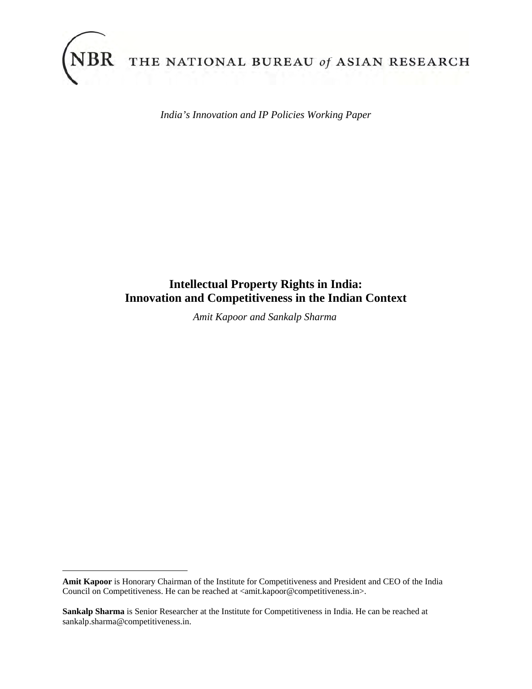

l

THE NATIONAL BUREAU of ASIAN RESEARCH

*India's Innovation and IP Policies Working Paper*

# **Intellectual Property Rights in India: Innovation and Competitiveness in the Indian Context**

*Amit Kapoor and Sankalp Sharma*

**Amit Kapoor** is Honorary Chairman of the Institute for Competitiveness and President and CEO of the India Council on Competitiveness. He can be reached at <amit.kapoor@competitiveness.in>.

**Sankalp Sharma** is Senior Researcher at the Institute for Competitiveness in India. He can be reached at sankalp.sharma@competitiveness.in.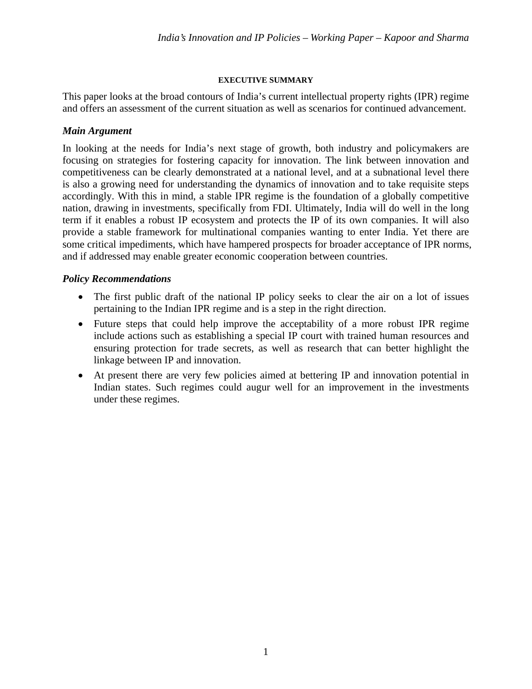## **EXECUTIVE SUMMARY**

This paper looks at the broad contours of India's current intellectual property rights (IPR) regime and offers an assessment of the current situation as well as scenarios for continued advancement.

# *Main Argument*

In looking at the needs for India's next stage of growth, both industry and policymakers are focusing on strategies for fostering capacity for innovation. The link between innovation and competitiveness can be clearly demonstrated at a national level, and at a subnational level there is also a growing need for understanding the dynamics of innovation and to take requisite steps accordingly. With this in mind, a stable IPR regime is the foundation of a globally competitive nation, drawing in investments, specifically from FDI. Ultimately, India will do well in the long term if it enables a robust IP ecosystem and protects the IP of its own companies. It will also provide a stable framework for multinational companies wanting to enter India. Yet there are some critical impediments, which have hampered prospects for broader acceptance of IPR norms, and if addressed may enable greater economic cooperation between countries.

# *Policy Recommendations*

- The first public draft of the national IP policy seeks to clear the air on a lot of issues pertaining to the Indian IPR regime and is a step in the right direction.
- Future steps that could help improve the acceptability of a more robust IPR regime include actions such as establishing a special IP court with trained human resources and ensuring protection for trade secrets, as well as research that can better highlight the linkage between IP and innovation.
- At present there are very few policies aimed at bettering IP and innovation potential in Indian states. Such regimes could augur well for an improvement in the investments under these regimes.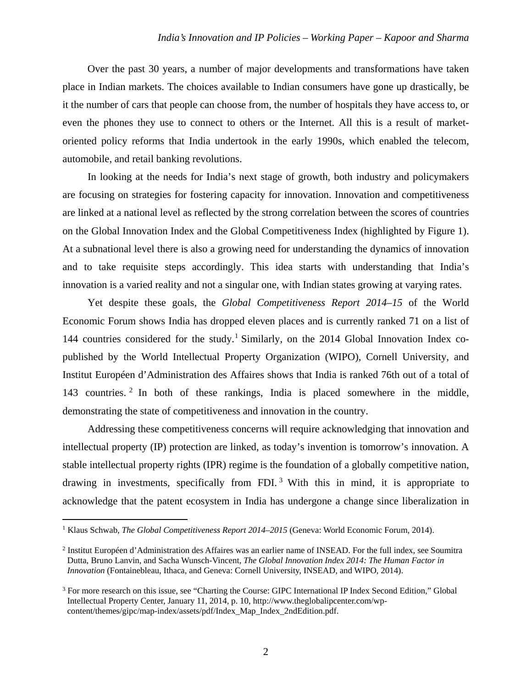### *India's Innovation and IP Policies – Working Paper – Kapoor and Sharma*

Over the past 30 years, a number of major developments and transformations have taken place in Indian markets. The choices available to Indian consumers have gone up drastically, be it the number of cars that people can choose from, the number of hospitals they have access to, or even the phones they use to connect to others or the Internet. All this is a result of marketoriented policy reforms that India undertook in the early 1990s, which enabled the telecom, automobile, and retail banking revolutions.

In looking at the needs for India's next stage of growth, both industry and policymakers are focusing on strategies for fostering capacity for innovation. Innovation and competitiveness are linked at a national level as reflected by the strong correlation between the scores of countries on the Global Innovation Index and the Global Competitiveness Index (highlighted by Figure 1). At a subnational level there is also a growing need for understanding the dynamics of innovation and to take requisite steps accordingly. This idea starts with understanding that India's innovation is a varied reality and not a singular one, with Indian states growing at varying rates.

Yet despite these goals, the *Global Competitiveness Report 2014–15* of the World Economic Forum shows India has dropped eleven places and is currently ranked 71 on a list of 144 countries considered for the study.<sup>1</sup> Similarly, on the 2014 Global Innovation Index copublished by the World Intellectual Property Organization (WIPO), Cornell University, and Institut Européen d'Administration des Affaires shows that India is ranked 76th out of a total of 143 countries. 2 In both of these rankings, India is placed somewhere in the middle, demonstrating the state of competitiveness and innovation in the country.

Addressing these competitiveness concerns will require acknowledging that innovation and intellectual property (IP) protection are linked, as today's invention is tomorrow's innovation. A stable intellectual property rights (IPR) regime is the foundation of a globally competitive nation, drawing in investments, specifically from FDI.<sup>3</sup> With this in mind, it is appropriate to acknowledge that the patent ecosystem in India has undergone a change since liberalization in

 $\overline{a}$ 

<sup>&</sup>lt;sup>1</sup> Klaus Schwab, *The Global Competitiveness Report 2014–2015* (Geneva: World Economic Forum, 2014).

<sup>2</sup> Institut Européen d'Administration des Affaires was an earlier name of INSEAD. For the full index, see Soumitra Dutta, Bruno Lanvin, and Sacha Wunsch-Vincent, *The Global Innovation Index 2014: The Human Factor in Innovation* (Fontainebleau, Ithaca, and Geneva: Cornell University, INSEAD, and WIPO, 2014).

<sup>&</sup>lt;sup>3</sup> For more research on this issue, see "Charting the Course: GIPC International IP Index Second Edition," Global Intellectual Property Center, January 11, 2014, p. 10, http://www.theglobalipcenter.com/wpcontent/themes/gipc/map-index/assets/pdf/Index\_Map\_Index\_2ndEdition.pdf.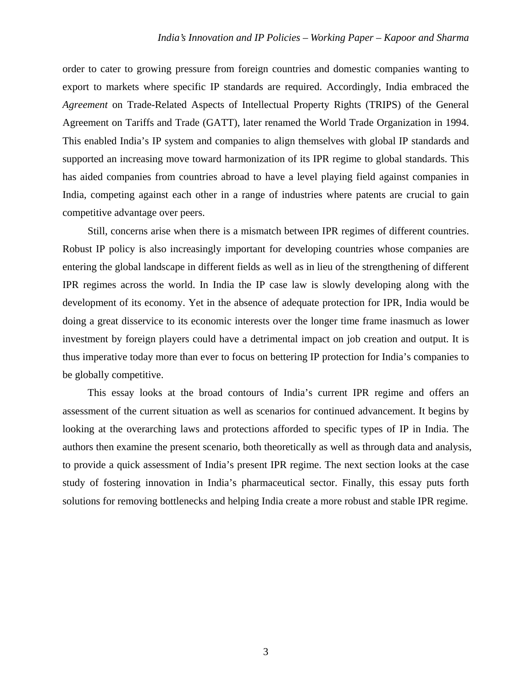order to cater to growing pressure from foreign countries and domestic companies wanting to export to markets where specific IP standards are required. Accordingly, India embraced the *Agreement* on Trade-Related Aspects of Intellectual Property Rights (TRIPS) of the General Agreement on Tariffs and Trade (GATT), later renamed the World Trade Organization in 1994. This enabled India's IP system and companies to align themselves with global IP standards and supported an increasing move toward harmonization of its IPR regime to global standards. This has aided companies from countries abroad to have a level playing field against companies in India, competing against each other in a range of industries where patents are crucial to gain competitive advantage over peers.

Still, concerns arise when there is a mismatch between IPR regimes of different countries. Robust IP policy is also increasingly important for developing countries whose companies are entering the global landscape in different fields as well as in lieu of the strengthening of different IPR regimes across the world. In India the IP case law is slowly developing along with the development of its economy. Yet in the absence of adequate protection for IPR, India would be doing a great disservice to its economic interests over the longer time frame inasmuch as lower investment by foreign players could have a detrimental impact on job creation and output. It is thus imperative today more than ever to focus on bettering IP protection for India's companies to be globally competitive.

This essay looks at the broad contours of India's current IPR regime and offers an assessment of the current situation as well as scenarios for continued advancement. It begins by looking at the overarching laws and protections afforded to specific types of IP in India. The authors then examine the present scenario, both theoretically as well as through data and analysis, to provide a quick assessment of India's present IPR regime. The next section looks at the case study of fostering innovation in India's pharmaceutical sector. Finally, this essay puts forth solutions for removing bottlenecks and helping India create a more robust and stable IPR regime.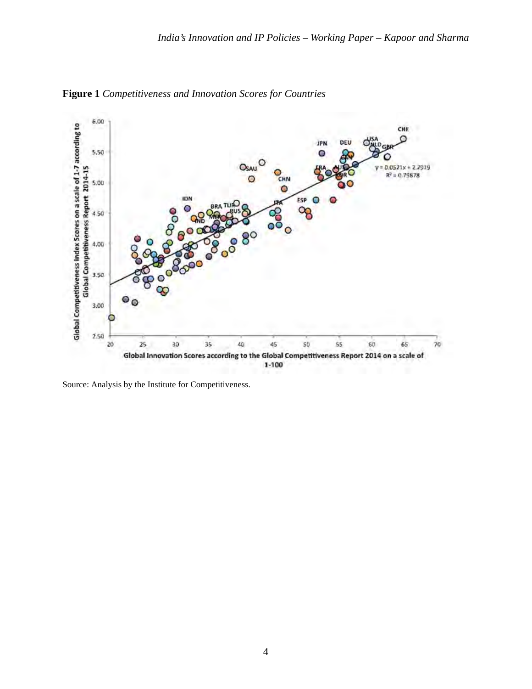

**Figure 1** *Competitiveness and Innovation Scores for Countries* 

Source: Analysis by the Institute for Competitiveness.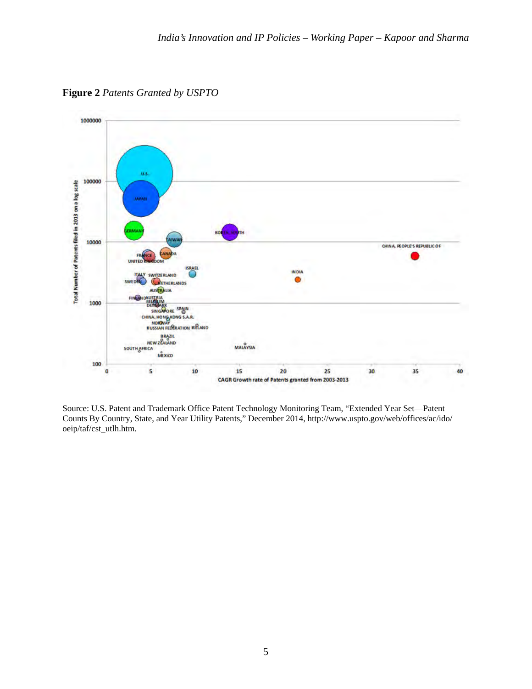**Figure 2** *Patents Granted by USPTO*



Source: U.S. Patent and Trademark Office Patent Technology Monitoring Team, "Extended Year Set—Patent Counts By Country, State, and Year Utility Patents," December 2014, http://www.uspto.gov/web/offices/ac/ido/ oeip/taf/cst\_utlh.htm.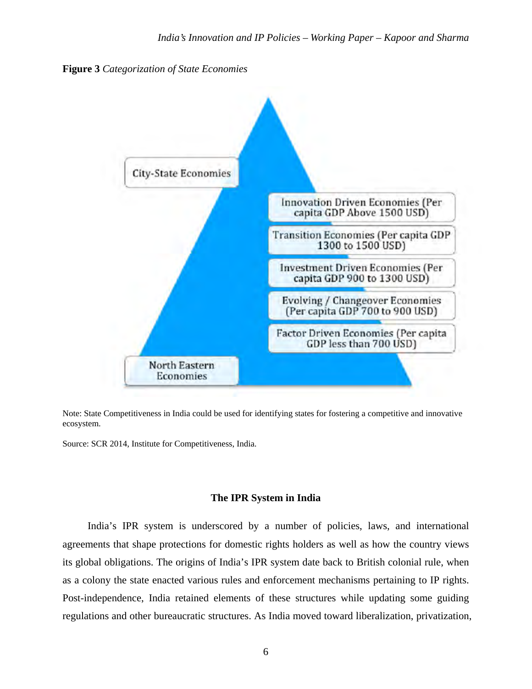



Note: State Competitiveness in India could be used for identifying states for fostering a competitive and innovative ecosystem.

Source: SCR 2014, Institute for Competitiveness, India.

## **The IPR System in India**

India's IPR system is underscored by a number of policies, laws, and international agreements that shape protections for domestic rights holders as well as how the country views its global obligations. The origins of India's IPR system date back to British colonial rule, when as a colony the state enacted various rules and enforcement mechanisms pertaining to IP rights. Post-independence, India retained elements of these structures while updating some guiding regulations and other bureaucratic structures. As India moved toward liberalization, privatization,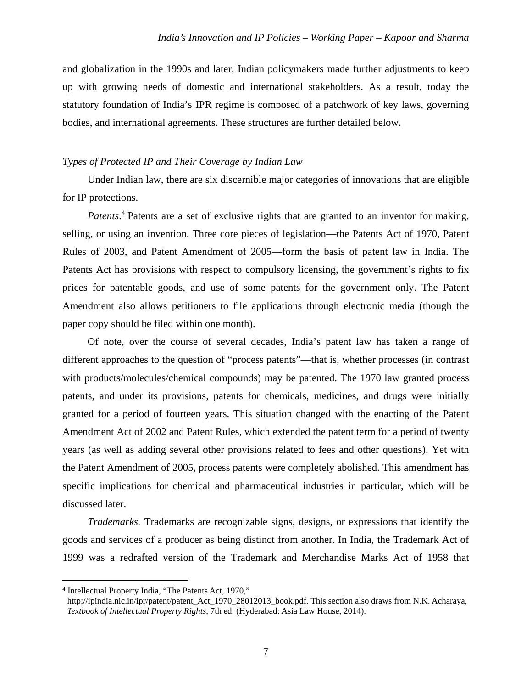and globalization in the 1990s and later, Indian policymakers made further adjustments to keep up with growing needs of domestic and international stakeholders. As a result, today the statutory foundation of India's IPR regime is composed of a patchwork of key laws, governing bodies, and international agreements. These structures are further detailed below.

#### *Types of Protected IP and Their Coverage by Indian Law*

Under Indian law, there are six discernible major categories of innovations that are eligible for IP protections.

Patents.<sup>4</sup> Patents are a set of exclusive rights that are granted to an inventor for making, selling, or using an invention. Three core pieces of legislation—the Patents Act of 1970, Patent Rules of 2003, and Patent Amendment of 2005—form the basis of patent law in India. The Patents Act has provisions with respect to compulsory licensing, the government's rights to fix prices for patentable goods, and use of some patents for the government only. The Patent Amendment also allows petitioners to file applications through electronic media (though the paper copy should be filed within one month).

Of note, over the course of several decades, India's patent law has taken a range of different approaches to the question of "process patents"—that is, whether processes (in contrast with products/molecules/chemical compounds) may be patented. The 1970 law granted process patents, and under its provisions, patents for chemicals, medicines, and drugs were initially granted for a period of fourteen years. This situation changed with the enacting of the Patent Amendment Act of 2002 and Patent Rules, which extended the patent term for a period of twenty years (as well as adding several other provisions related to fees and other questions). Yet with the Patent Amendment of 2005, process patents were completely abolished. This amendment has specific implications for chemical and pharmaceutical industries in particular, which will be discussed later.

*Trademarks.* Trademarks are recognizable signs, designs, or expressions that identify the goods and services of a producer as being distinct from another. In India, the Trademark Act of 1999 was a redrafted version of the Trademark and Merchandise Marks Act of 1958 that

<sup>4</sup> Intellectual Property India, "The Patents Act, 1970,"

http://ipindia.nic.in/ipr/patent/patent\_Act\_1970\_28012013\_book.pdf. This section also draws from N.K. Acharaya, *Textbook of Intellectual Property Rights*, 7th ed. (Hyderabad: Asia Law House, 2014).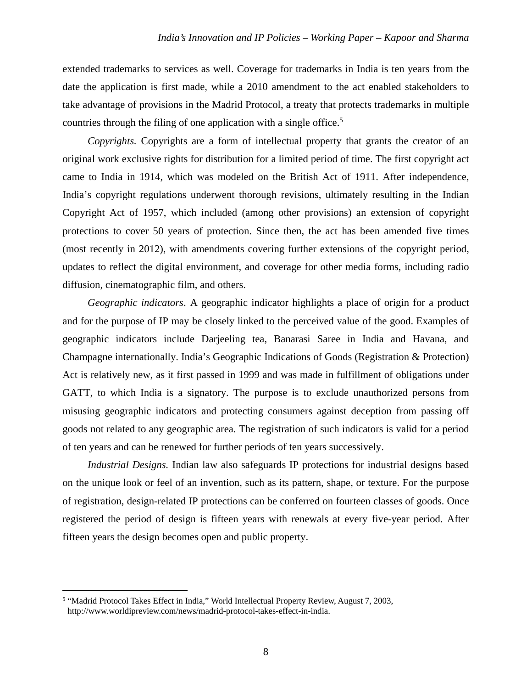extended trademarks to services as well. Coverage for trademarks in India is ten years from the date the application is first made, while a 2010 amendment to the act enabled stakeholders to take advantage of provisions in the Madrid Protocol, a treaty that protects trademarks in multiple countries through the filing of one application with a single office.<sup>5</sup>

*Copyrights.* Copyrights are a form of intellectual property that grants the creator of an original work exclusive rights for distribution for a limited period of time. The first copyright act came to India in 1914, which was modeled on the British Act of 1911. After independence, India's copyright regulations underwent thorough revisions, ultimately resulting in the Indian Copyright Act of 1957, which included (among other provisions) an extension of copyright protections to cover 50 years of protection. Since then, the act has been amended five times (most recently in 2012), with amendments covering further extensions of the copyright period, updates to reflect the digital environment, and coverage for other media forms, including radio diffusion, cinematographic film, and others.

*Geographic indicators*. A geographic indicator highlights a place of origin for a product and for the purpose of IP may be closely linked to the perceived value of the good. Examples of geographic indicators include Darjeeling tea, Banarasi Saree in India and Havana, and Champagne internationally. India's Geographic Indications of Goods (Registration & Protection) Act is relatively new, as it first passed in 1999 and was made in fulfillment of obligations under GATT, to which India is a signatory. The purpose is to exclude unauthorized persons from misusing geographic indicators and protecting consumers against deception from passing off goods not related to any geographic area. The registration of such indicators is valid for a period of ten years and can be renewed for further periods of ten years successively.

*Industrial Designs.* Indian law also safeguards IP protections for industrial designs based on the unique look or feel of an invention, such as its pattern, shape, or texture. For the purpose of registration, design-related IP protections can be conferred on fourteen classes of goods. Once registered the period of design is fifteen years with renewals at every five-year period. After fifteen years the design becomes open and public property.

 $\overline{a}$ 

<sup>5</sup> "Madrid Protocol Takes Effect in India," World Intellectual Property Review, August 7, 2003, http://www.worldipreview.com/news/madrid-protocol-takes-effect-in-india.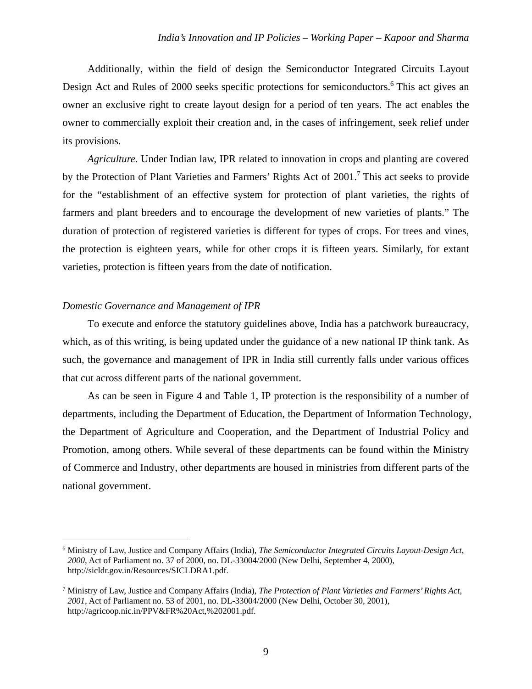Additionally, within the field of design the Semiconductor Integrated Circuits Layout Design Act and Rules of 2000 seeks specific protections for semiconductors.<sup>6</sup> This act gives an owner an exclusive right to create layout design for a period of ten years. The act enables the owner to commercially exploit their creation and, in the cases of infringement, seek relief under its provisions.

*Agriculture.* Under Indian law, IPR related to innovation in crops and planting are covered by the Protection of Plant Varieties and Farmers' Rights Act of 2001.7 This act seeks to provide for the "establishment of an effective system for protection of plant varieties, the rights of farmers and plant breeders and to encourage the development of new varieties of plants." The duration of protection of registered varieties is different for types of crops. For trees and vines, the protection is eighteen years, while for other crops it is fifteen years. Similarly, for extant varieties, protection is fifteen years from the date of notification.

## *Domestic Governance and Management of IPR*

To execute and enforce the statutory guidelines above, India has a patchwork bureaucracy, which, as of this writing, is being updated under the guidance of a new national IP think tank. As such, the governance and management of IPR in India still currently falls under various offices that cut across different parts of the national government.

As can be seen in Figure 4 and Table 1, IP protection is the responsibility of a number of departments, including the Department of Education, the Department of Information Technology, the Department of Agriculture and Cooperation, and the Department of Industrial Policy and Promotion, among others. While several of these departments can be found within the Ministry of Commerce and Industry, other departments are housed in ministries from different parts of the national government.

<sup>6</sup> Ministry of Law, Justice and Company Affairs (India), *The Semiconductor Integrated Circuits Layout-Design Act, 2000*, Act of Parliament no. 37 of 2000, no. DL-33004/2000 (New Delhi, September 4, 2000), http://sicldr.gov.in/Resources/SICLDRA1.pdf.

<sup>7</sup> Ministry of Law, Justice and Company Affairs (India), *The Protection of Plant Varieties and Farmers' Rights Act, 2001*, Act of Parliament no. 53 of 2001, no. DL-33004/2000 (New Delhi, October 30, 2001), http://agricoop.nic.in/PPV&FR%20Act,%202001.pdf.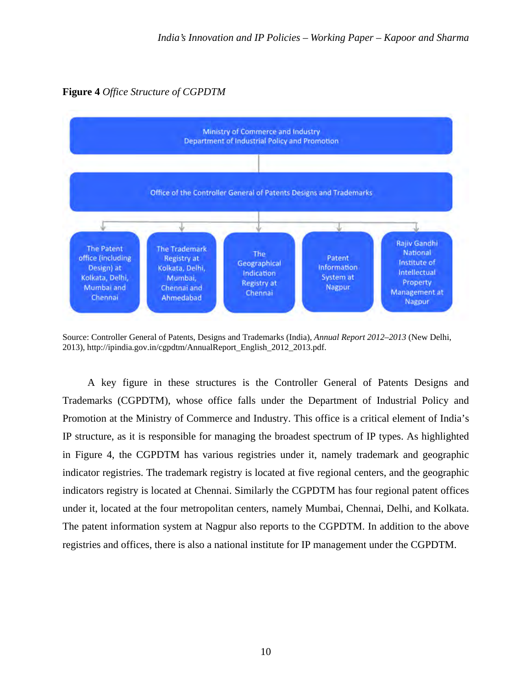**Figure 4** *Office Structure of CGPDTM*



Source: Controller General of Patents, Designs and Trademarks (India), *Annual Report 2012–2013* (New Delhi, 2013), http://ipindia.gov.in/cgpdtm/AnnualReport\_English\_2012\_2013.pdf.

A key figure in these structures is the Controller General of Patents Designs and Trademarks (CGPDTM), whose office falls under the Department of Industrial Policy and Promotion at the Ministry of Commerce and Industry. This office is a critical element of India's IP structure, as it is responsible for managing the broadest spectrum of IP types. As highlighted in Figure 4, the CGPDTM has various registries under it, namely trademark and geographic indicator registries. The trademark registry is located at five regional centers, and the geographic indicators registry is located at Chennai. Similarly the CGPDTM has four regional patent offices under it, located at the four metropolitan centers, namely Mumbai, Chennai, Delhi, and Kolkata. The patent information system at Nagpur also reports to the CGPDTM. In addition to the above registries and offices, there is also a national institute for IP management under the CGPDTM.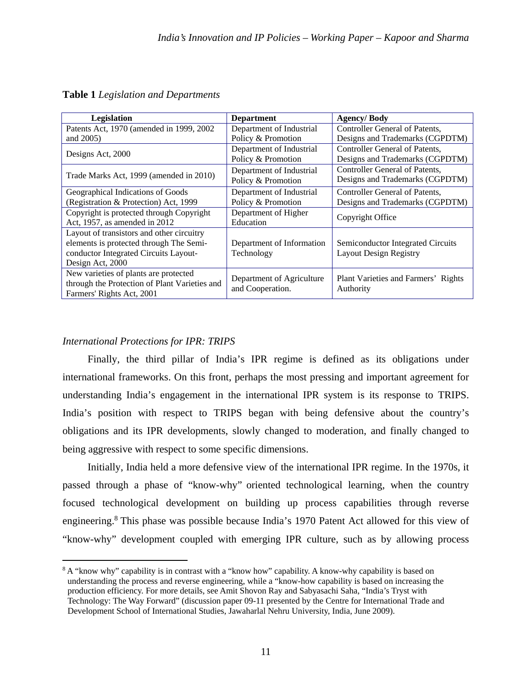| Legislation                                                                                                                                       | <b>Department</b>                              | <b>Agency/Body</b>                                                 |
|---------------------------------------------------------------------------------------------------------------------------------------------------|------------------------------------------------|--------------------------------------------------------------------|
| Patents Act, 1970 (amended in 1999, 2002)                                                                                                         | Department of Industrial                       | Controller General of Patents,                                     |
| and 2005)                                                                                                                                         | Policy & Promotion                             | Designs and Trademarks (CGPDTM)                                    |
| Designs Act, 2000                                                                                                                                 | Department of Industrial<br>Policy & Promotion | Controller General of Patents,<br>Designs and Trademarks (CGPDTM)  |
| Trade Marks Act, 1999 (amended in 2010)                                                                                                           | Department of Industrial<br>Policy & Promotion | Controller General of Patents,<br>Designs and Trademarks (CGPDTM)  |
| Geographical Indications of Goods<br>(Registration & Protection) Act, 1999                                                                        | Department of Industrial<br>Policy & Promotion | Controller General of Patents,<br>Designs and Trademarks (CGPDTM)  |
| Copyright is protected through Copyright<br>Act, 1957, as amended in 2012                                                                         | Department of Higher<br>Education              | Copyright Office                                                   |
| Layout of transistors and other circuitry<br>elements is protected through The Semi-<br>conductor Integrated Circuits Layout-<br>Design Act, 2000 | Department of Information<br>Technology        | Semiconductor Integrated Circuits<br><b>Layout Design Registry</b> |
| New varieties of plants are protected<br>through the Protection of Plant Varieties and<br>Farmers' Rights Act, 2001                               | Department of Agriculture<br>and Cooperation.  | Plant Varieties and Farmers' Rights<br>Authority                   |

**Table 1** *Legislation and Departments*

## *International Protections for IPR: TRIPS*

l

Finally, the third pillar of India's IPR regime is defined as its obligations under international frameworks. On this front, perhaps the most pressing and important agreement for understanding India's engagement in the international IPR system is its response to TRIPS. India's position with respect to TRIPS began with being defensive about the country's obligations and its IPR developments, slowly changed to moderation, and finally changed to being aggressive with respect to some specific dimensions.

Initially, India held a more defensive view of the international IPR regime. In the 1970s, it passed through a phase of "know-why" oriented technological learning, when the country focused technological development on building up process capabilities through reverse engineering.<sup>8</sup> This phase was possible because India's 1970 Patent Act allowed for this view of "know-why" development coupled with emerging IPR culture, such as by allowing process

<sup>&</sup>lt;sup>8</sup> A "know why" capability is in contrast with a "know how" capability. A know-why capability is based on understanding the process and reverse engineering, while a "know-how capability is based on increasing the production efficiency. For more details, see Amit Shovon Ray and Sabyasachi Saha, "India's Tryst with Technology: The Way Forward" (discussion paper 09-11 presented by the Centre for International Trade and Development School of International Studies, Jawaharlal Nehru University, India, June 2009).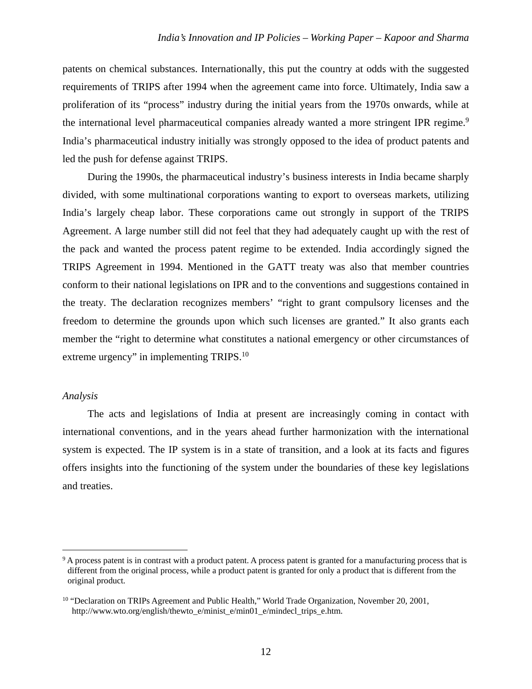patents on chemical substances. Internationally, this put the country at odds with the suggested requirements of TRIPS after 1994 when the agreement came into force. Ultimately, India saw a proliferation of its "process" industry during the initial years from the 1970s onwards, while at the international level pharmaceutical companies already wanted a more stringent IPR regime.<sup>9</sup> India's pharmaceutical industry initially was strongly opposed to the idea of product patents and led the push for defense against TRIPS.

During the 1990s, the pharmaceutical industry's business interests in India became sharply divided, with some multinational corporations wanting to export to overseas markets, utilizing India's largely cheap labor. These corporations came out strongly in support of the TRIPS Agreement. A large number still did not feel that they had adequately caught up with the rest of the pack and wanted the process patent regime to be extended. India accordingly signed the TRIPS Agreement in 1994. Mentioned in the GATT treaty was also that member countries conform to their national legislations on IPR and to the conventions and suggestions contained in the treaty. The declaration recognizes members' "right to grant compulsory licenses and the freedom to determine the grounds upon which such licenses are granted." It also grants each member the "right to determine what constitutes a national emergency or other circumstances of extreme urgency" in implementing TRIPS.<sup>10</sup>

## *Analysis*

 $\overline{a}$ 

The acts and legislations of India at present are increasingly coming in contact with international conventions, and in the years ahead further harmonization with the international system is expected. The IP system is in a state of transition, and a look at its facts and figures offers insights into the functioning of the system under the boundaries of these key legislations and treaties.

<sup>&</sup>lt;sup>9</sup> A process patent is in contrast with a product patent. A process patent is granted for a manufacturing process that is different from the original process, while a product patent is granted for only a product that is different from the original product.

<sup>&</sup>lt;sup>10</sup> "Declaration on TRIPs Agreement and Public Health," World Trade Organization, November 20, 2001, http://www.wto.org/english/thewto\_e/minist\_e/min01\_e/mindecl\_trips\_e.htm.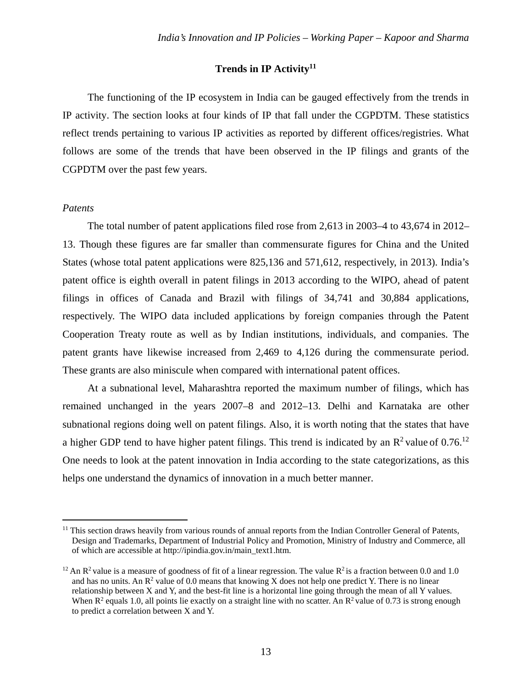#### Trends in IP Activity<sup>11</sup>

The functioning of the IP ecosystem in India can be gauged effectively from the trends in IP activity. The section looks at four kinds of IP that fall under the CGPDTM. These statistics reflect trends pertaining to various IP activities as reported by different offices/registries. What follows are some of the trends that have been observed in the IP filings and grants of the CGPDTM over the past few years.

#### *Patents*

 $\overline{a}$ 

The total number of patent applications filed rose from 2,613 in 2003–4 to 43,674 in 2012– 13. Though these figures are far smaller than commensurate figures for China and the United States (whose total patent applications were 825,136 and 571,612, respectively, in 2013). India's patent office is eighth overall in patent filings in 2013 according to the WIPO, ahead of patent filings in offices of Canada and Brazil with filings of 34,741 and 30,884 applications, respectively. The WIPO data included applications by foreign companies through the Patent Cooperation Treaty route as well as by Indian institutions, individuals, and companies. The patent grants have likewise increased from 2,469 to 4,126 during the commensurate period. These grants are also miniscule when compared with international patent offices.

At a subnational level, Maharashtra reported the maximum number of filings, which has remained unchanged in the years 2007–8 and 2012–13. Delhi and Karnataka are other subnational regions doing well on patent filings. Also, it is worth noting that the states that have a higher GDP tend to have higher patent filings. This trend is indicated by an  $\mathbb{R}^2$  value of 0.76.<sup>12</sup> One needs to look at the patent innovation in India according to the state categorizations, as this helps one understand the dynamics of innovation in a much better manner.

<sup>&</sup>lt;sup>11</sup> This section draws heavily from various rounds of annual reports from the Indian Controller General of Patents, Design and Trademarks, Department of Industrial Policy and Promotion, Ministry of Industry and Commerce, all of which are accessible at http://ipindia.gov.in/main\_text1.htm.

<sup>&</sup>lt;sup>12</sup> An R<sup>2</sup> value is a measure of goodness of fit of a linear regression. The value R<sup>2</sup> is a fraction between 0.0 and 1.0 and has no units. An  $\mathbb{R}^2$  value of 0.0 means that knowing X does not help one predict Y. There is no linear relationship between X and Y, and the best-fit line is a horizontal line going through the mean of all Y values. When  $R^2$  equals 1.0, all points lie exactly on a straight line with no scatter. An  $R^2$  value of 0.73 is strong enough to predict a correlation between X and Y.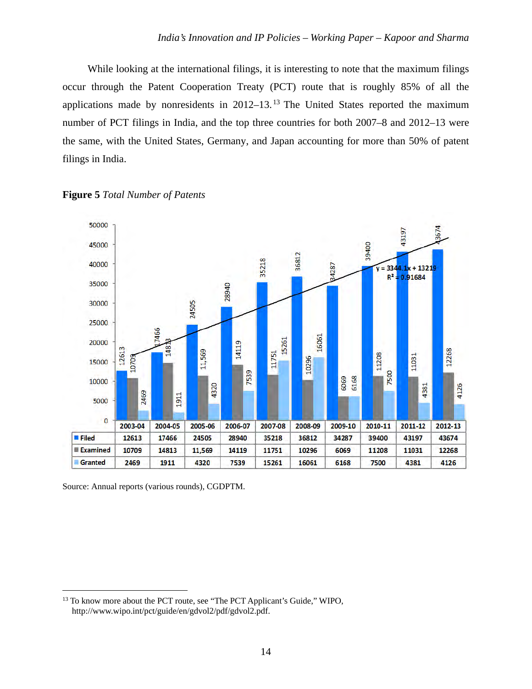While looking at the international filings, it is interesting to note that the maximum filings occur through the Patent Cooperation Treaty (PCT) route that is roughly 85% of all the applications made by nonresidents in  $2012-13$ .<sup>13</sup> The United States reported the maximum number of PCT filings in India, and the top three countries for both 2007–8 and 2012–13 were the same, with the United States, Germany, and Japan accounting for more than 50% of patent filings in India.





Source: Annual reports (various rounds), CGDPTM.

l

<sup>&</sup>lt;sup>13</sup> To know more about the PCT route, see "The PCT Applicant's Guide," WIPO, http://www.wipo.int/pct/guide/en/gdvol2/pdf/gdvol2.pdf.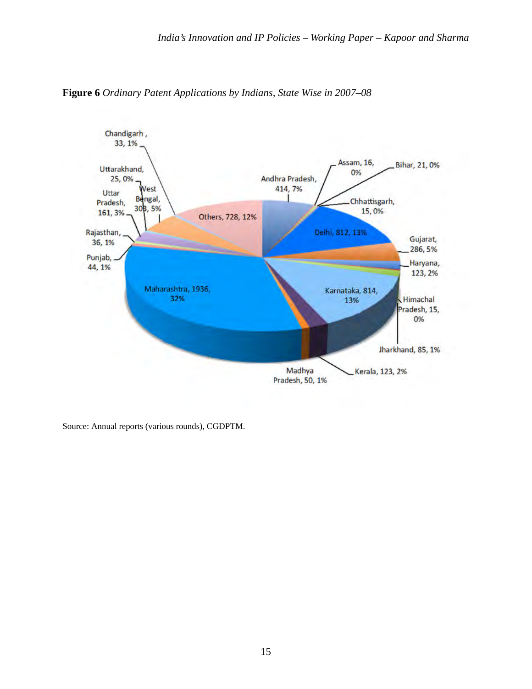

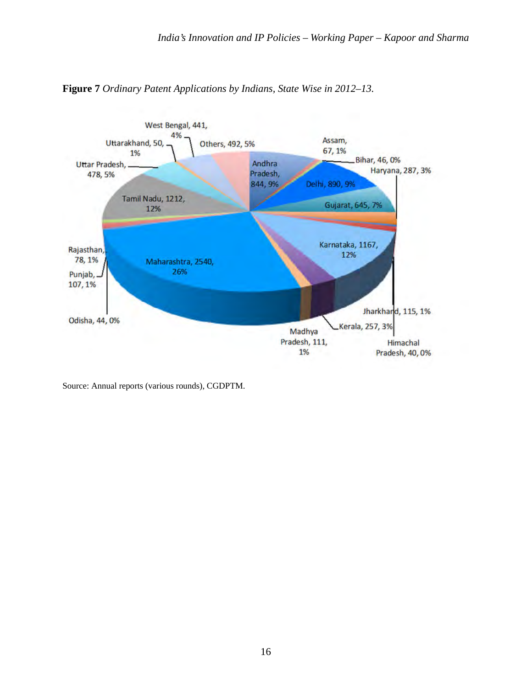

**Figure 7** *Ordinary Patent Applications by Indians, State Wise in 2012–13.*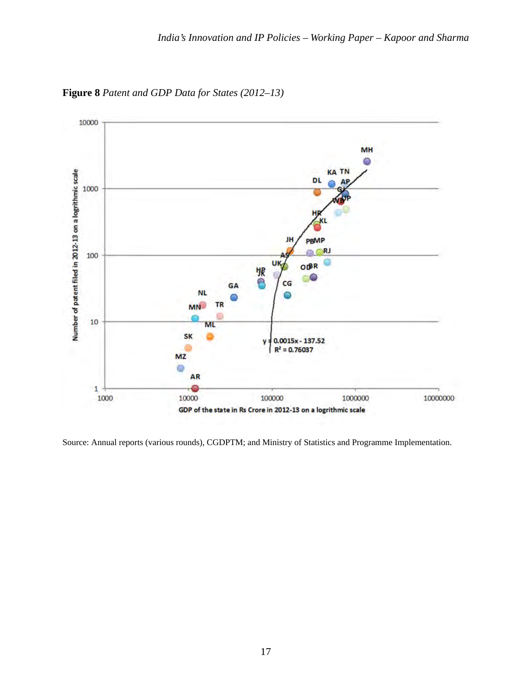

**Figure 8** *Patent and GDP Data for States (2012–13)*

Source: Annual reports (various rounds), CGDPTM; and Ministry of Statistics and Programme Implementation.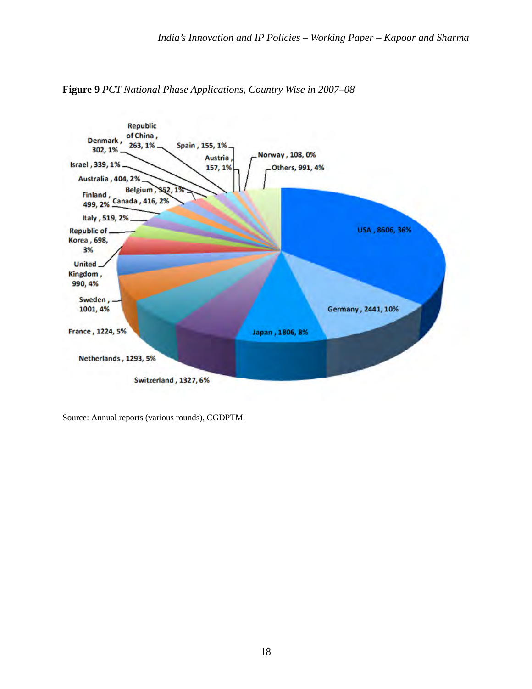

**Figure 9** *PCT National Phase Applications, Country Wise in 2007–08*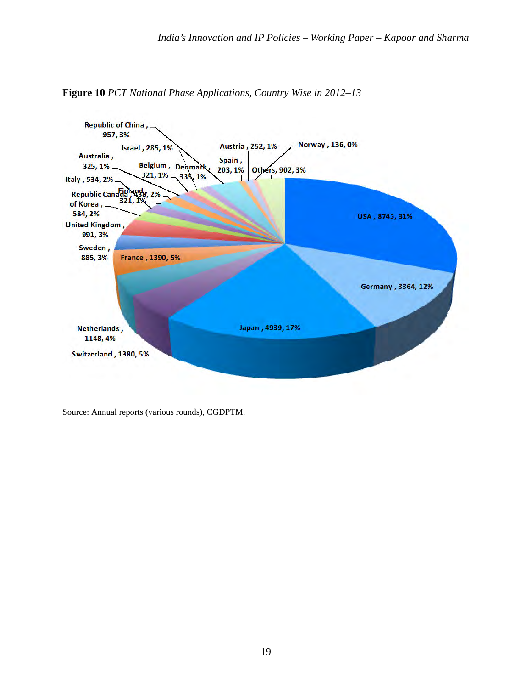

**Figure 10** *PCT National Phase Applications, Country Wise in 2012–13*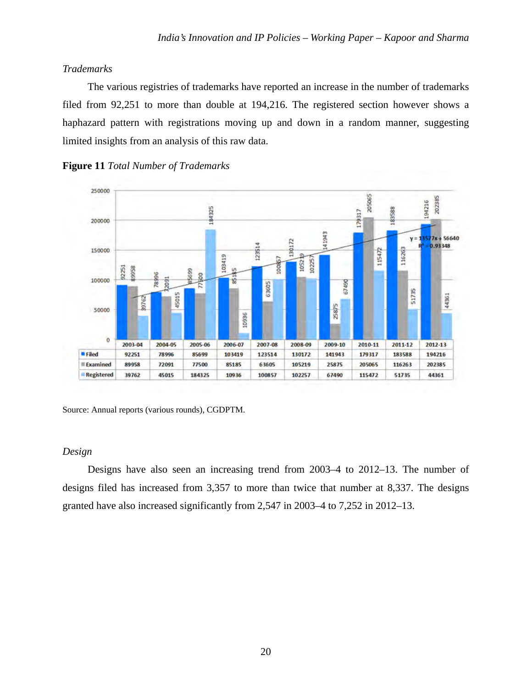# *Trademarks*

The various registries of trademarks have reported an increase in the number of trademarks filed from 92,251 to more than double at 194,216. The registered section however shows a haphazard pattern with registrations moving up and down in a random manner, suggesting limited insights from an analysis of this raw data.





Source: Annual reports (various rounds), CGDPTM.

## *Design*

Designs have also seen an increasing trend from 2003–4 to 2012–13. The number of designs filed has increased from 3,357 to more than twice that number at 8,337. The designs granted have also increased significantly from 2,547 in 2003–4 to 7,252 in 2012–13.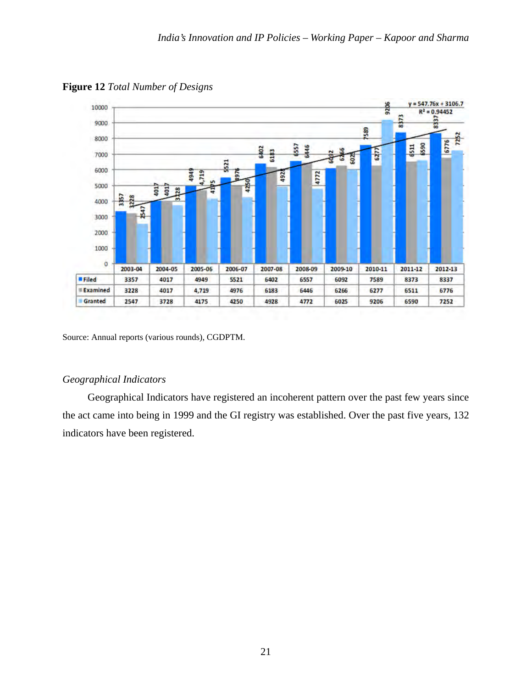

**Figure 12** *Total Number of Designs*

## *Geographical Indicators*

Geographical Indicators have registered an incoherent pattern over the past few years since the act came into being in 1999 and the GI registry was established. Over the past five years, 132 indicators have been registered.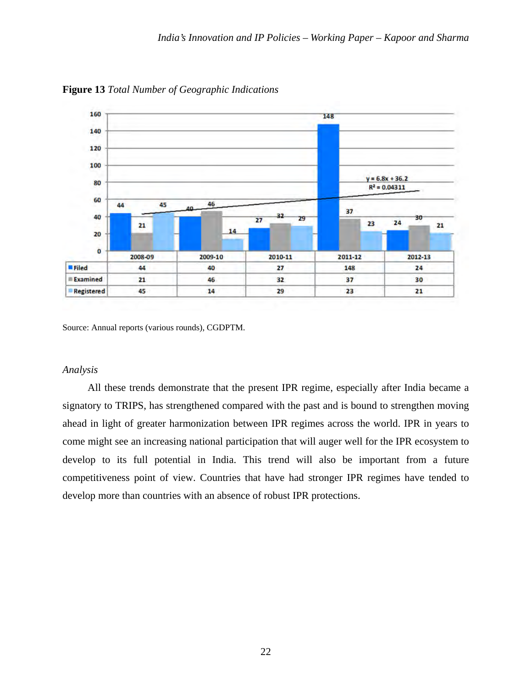

**Figure 13** *Total Number of Geographic Indications*

#### *Analysis*

All these trends demonstrate that the present IPR regime, especially after India became a signatory to TRIPS, has strengthened compared with the past and is bound to strengthen moving ahead in light of greater harmonization between IPR regimes across the world. IPR in years to come might see an increasing national participation that will auger well for the IPR ecosystem to develop to its full potential in India. This trend will also be important from a future competitiveness point of view. Countries that have had stronger IPR regimes have tended to develop more than countries with an absence of robust IPR protections.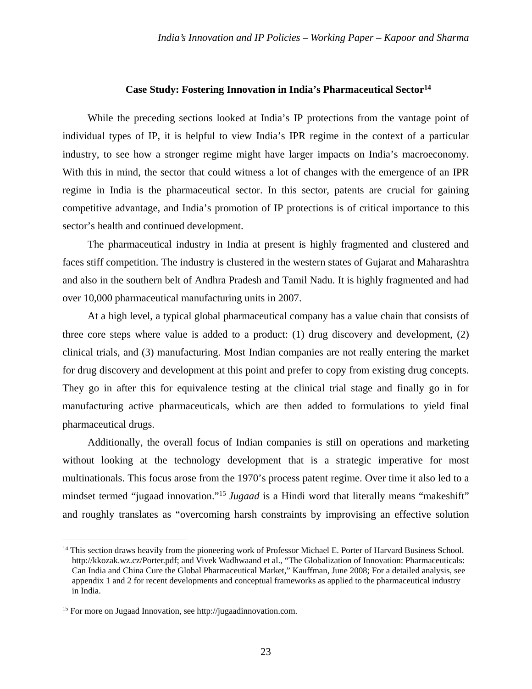#### **Case Study: Fostering Innovation in India's Pharmaceutical Sector14**

While the preceding sections looked at India's IP protections from the vantage point of individual types of IP, it is helpful to view India's IPR regime in the context of a particular industry, to see how a stronger regime might have larger impacts on India's macroeconomy. With this in mind, the sector that could witness a lot of changes with the emergence of an IPR regime in India is the pharmaceutical sector. In this sector, patents are crucial for gaining competitive advantage, and India's promotion of IP protections is of critical importance to this sector's health and continued development.

The pharmaceutical industry in India at present is highly fragmented and clustered and faces stiff competition. The industry is clustered in the western states of Gujarat and Maharashtra and also in the southern belt of Andhra Pradesh and Tamil Nadu. It is highly fragmented and had over 10,000 pharmaceutical manufacturing units in 2007.

At a high level, a typical global pharmaceutical company has a value chain that consists of three core steps where value is added to a product: (1) drug discovery and development, (2) clinical trials, and (3) manufacturing. Most Indian companies are not really entering the market for drug discovery and development at this point and prefer to copy from existing drug concepts. They go in after this for equivalence testing at the clinical trial stage and finally go in for manufacturing active pharmaceuticals, which are then added to formulations to yield final pharmaceutical drugs.

Additionally, the overall focus of Indian companies is still on operations and marketing without looking at the technology development that is a strategic imperative for most multinationals. This focus arose from the 1970's process patent regime. Over time it also led to a mindset termed "jugaad innovation."<sup>15</sup> *Jugaad* is a Hindi word that literally means "makeshift" and roughly translates as "overcoming harsh constraints by improvising an effective solution

 $\overline{a}$ 

<sup>&</sup>lt;sup>14</sup> This section draws heavily from the pioneering work of Professor Michael E. Porter of Harvard Business School. http://kkozak.wz.cz/Porter.pdf; and Vivek Wadhwaand et al., "The Globalization of Innovation: Pharmaceuticals: Can India and China Cure the Global Pharmaceutical Market," Kauffman, June 2008; For a detailed analysis, see appendix 1 and 2 for recent developments and conceptual frameworks as applied to the pharmaceutical industry in India.

<sup>15</sup> For more on Jugaad Innovation, see http://jugaadinnovation.com.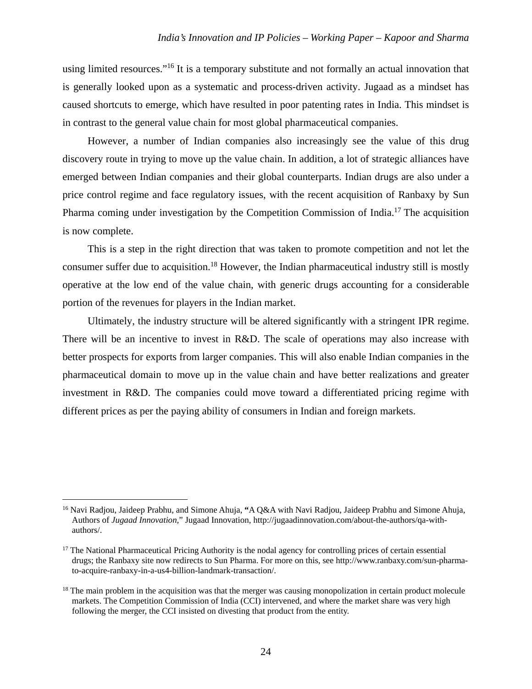using limited resources."<sup>16</sup> It is a temporary substitute and not formally an actual innovation that is generally looked upon as a systematic and process-driven activity. Jugaad as a mindset has caused shortcuts to emerge, which have resulted in poor patenting rates in India. This mindset is in contrast to the general value chain for most global pharmaceutical companies.

However, a number of Indian companies also increasingly see the value of this drug discovery route in trying to move up the value chain. In addition, a lot of strategic alliances have emerged between Indian companies and their global counterparts. Indian drugs are also under a price control regime and face regulatory issues, with the recent acquisition of Ranbaxy by Sun Pharma coming under investigation by the Competition Commission of India.17 The acquisition is now complete.

This is a step in the right direction that was taken to promote competition and not let the consumer suffer due to acquisition.<sup>18</sup> However, the Indian pharmaceutical industry still is mostly operative at the low end of the value chain, with generic drugs accounting for a considerable portion of the revenues for players in the Indian market.

Ultimately, the industry structure will be altered significantly with a stringent IPR regime. There will be an incentive to invest in R&D. The scale of operations may also increase with better prospects for exports from larger companies. This will also enable Indian companies in the pharmaceutical domain to move up in the value chain and have better realizations and greater investment in R&D. The companies could move toward a differentiated pricing regime with different prices as per the paying ability of consumers in Indian and foreign markets.

<sup>16</sup> Navi Radjou, Jaideep Prabhu, and Simone Ahuja, **"**A Q&A with Navi Radjou, Jaideep Prabhu and Simone Ahuja, Authors of *Jugaad Innovation,*" Jugaad Innovation, http://jugaadinnovation.com/about-the-authors/qa-withauthors/.

<sup>&</sup>lt;sup>17</sup> The National Pharmaceutical Pricing Authority is the nodal agency for controlling prices of certain essential drugs; the Ranbaxy site now redirects to Sun Pharma. For more on this, see http://www.ranbaxy.com/sun-pharmato-acquire-ranbaxy-in-a-us4-billion-landmark-transaction/.

<sup>&</sup>lt;sup>18</sup> The main problem in the acquisition was that the merger was causing monopolization in certain product molecule markets. The Competition Commission of India (CCI) intervened, and where the market share was very high following the merger, the CCI insisted on divesting that product from the entity.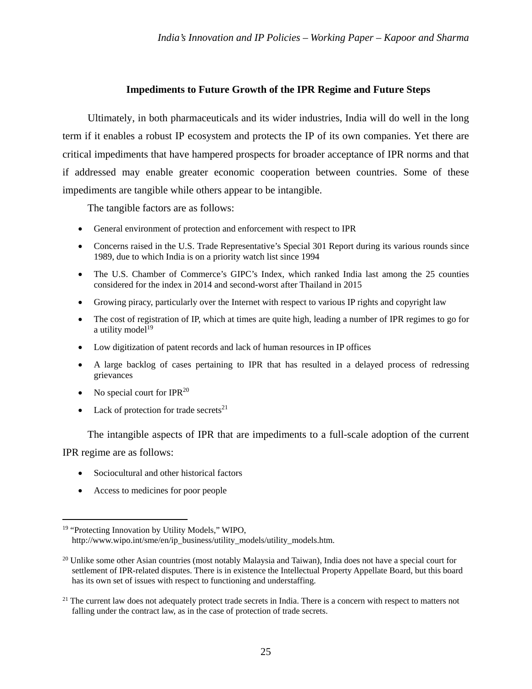## **Impediments to Future Growth of the IPR Regime and Future Steps**

Ultimately, in both pharmaceuticals and its wider industries, India will do well in the long term if it enables a robust IP ecosystem and protects the IP of its own companies. Yet there are critical impediments that have hampered prospects for broader acceptance of IPR norms and that if addressed may enable greater economic cooperation between countries. Some of these impediments are tangible while others appear to be intangible.

The tangible factors are as follows:

- General environment of protection and enforcement with respect to IPR
- Concerns raised in the U.S. Trade Representative's Special 301 Report during its various rounds since 1989, due to which India is on a priority watch list since 1994
- The U.S. Chamber of Commerce's GIPC's Index, which ranked India last among the 25 counties considered for the index in 2014 and second-worst after Thailand in 2015
- Growing piracy, particularly over the Internet with respect to various IP rights and copyright law
- The cost of registration of IP, which at times are quite high, leading a number of IPR regimes to go for a utility model $19$
- Low digitization of patent records and lack of human resources in IP offices
- A large backlog of cases pertaining to IPR that has resulted in a delayed process of redressing grievances
- No special court for  $IPR^{20}$
- Lack of protection for trade secrets $^{21}$

The intangible aspects of IPR that are impediments to a full-scale adoption of the current

IPR regime are as follows:

- Sociocultural and other historical factors
- Access to medicines for poor people

<sup>&</sup>lt;sup>19</sup> "Protecting Innovation by Utility Models," WIPO, http://www.wipo.int/sme/en/ip\_business/utility\_models/utility\_models.htm.

<sup>&</sup>lt;sup>20</sup> Unlike some other Asian countries (most notably Malaysia and Taiwan), India does not have a special court for settlement of IPR-related disputes. There is in existence the Intellectual Property Appellate Board, but this board has its own set of issues with respect to functioning and understaffing.

<sup>&</sup>lt;sup>21</sup> The current law does not adequately protect trade secrets in India. There is a concern with respect to matters not falling under the contract law, as in the case of protection of trade secrets.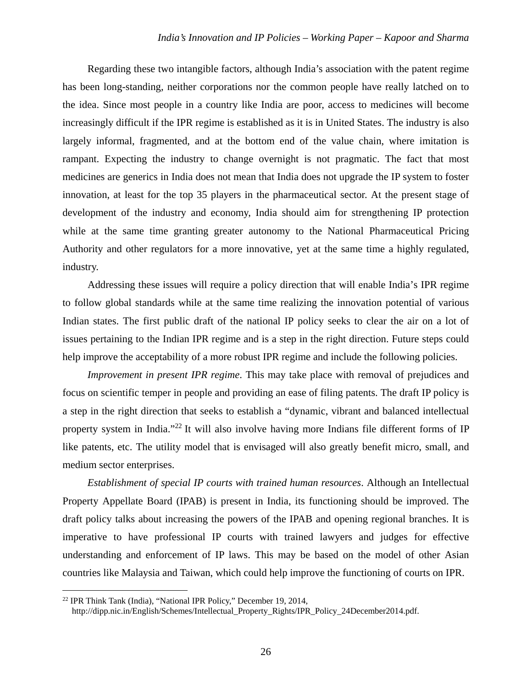Regarding these two intangible factors, although India's association with the patent regime has been long-standing, neither corporations nor the common people have really latched on to the idea. Since most people in a country like India are poor, access to medicines will become increasingly difficult if the IPR regime is established as it is in United States. The industry is also largely informal, fragmented, and at the bottom end of the value chain, where imitation is rampant. Expecting the industry to change overnight is not pragmatic. The fact that most medicines are generics in India does not mean that India does not upgrade the IP system to foster innovation, at least for the top 35 players in the pharmaceutical sector. At the present stage of development of the industry and economy, India should aim for strengthening IP protection while at the same time granting greater autonomy to the National Pharmaceutical Pricing Authority and other regulators for a more innovative, yet at the same time a highly regulated, industry.

Addressing these issues will require a policy direction that will enable India's IPR regime to follow global standards while at the same time realizing the innovation potential of various Indian states. The first public draft of the national IP policy seeks to clear the air on a lot of issues pertaining to the Indian IPR regime and is a step in the right direction. Future steps could help improve the acceptability of a more robust IPR regime and include the following policies.

*Improvement in present IPR regime*. This may take place with removal of prejudices and focus on scientific temper in people and providing an ease of filing patents. The draft IP policy is a step in the right direction that seeks to establish a "dynamic, vibrant and balanced intellectual property system in India."<sup>22</sup> It will also involve having more Indians file different forms of IP like patents, etc. The utility model that is envisaged will also greatly benefit micro, small, and medium sector enterprises.

*Establishment of special IP courts with trained human resources*. Although an Intellectual Property Appellate Board (IPAB) is present in India, its functioning should be improved. The draft policy talks about increasing the powers of the IPAB and opening regional branches. It is imperative to have professional IP courts with trained lawyers and judges for effective understanding and enforcement of IP laws. This may be based on the model of other Asian countries like Malaysia and Taiwan, which could help improve the functioning of courts on IPR.

l

<sup>22</sup> IPR Think Tank (India), "National IPR Policy," December 19, 2014,

http://dipp.nic.in/English/Schemes/Intellectual\_Property\_Rights/IPR\_Policy\_24December2014.pdf.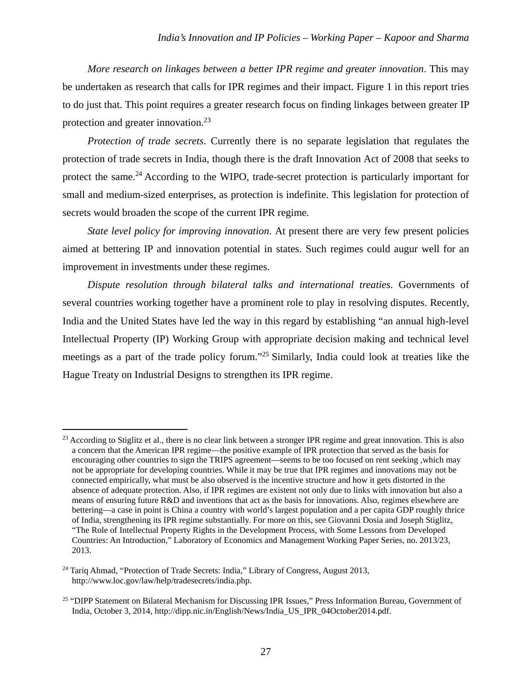*More research on linkages between a better IPR regime and greater innovation*. This may be undertaken as research that calls for IPR regimes and their impact. Figure 1 in this report tries to do just that. This point requires a greater research focus on finding linkages between greater IP protection and greater innovation.<sup>23</sup>

*Protection of trade secrets*. Currently there is no separate legislation that regulates the protection of trade secrets in India, though there is the draft Innovation Act of 2008 that seeks to protect the same.<sup>24</sup> According to the WIPO, trade-secret protection is particularly important for small and medium-sized enterprises, as protection is indefinite. This legislation for protection of secrets would broaden the scope of the current IPR regime.

*State level policy for improving innovation*. At present there are very few present policies aimed at bettering IP and innovation potential in states. Such regimes could augur well for an improvement in investments under these regimes.

*Dispute resolution through bilateral talks and international treaties*. Governments of several countries working together have a prominent role to play in resolving disputes. Recently, India and the United States have led the way in this regard by establishing "an annual high-level Intellectual Property (IP) Working Group with appropriate decision making and technical level meetings as a part of the trade policy forum."25 Similarly, India could look at treaties like the Hague Treaty on Industrial Designs to strengthen its IPR regime.

<sup>&</sup>lt;sup>23</sup> According to Stiglitz et al., there is no clear link between a stronger IPR regime and great innovation. This is also a concern that the American IPR regime—the positive example of IPR protection that served as the basis for encouraging other countries to sign the TRIPS agreement—seems to be too focused on rent seeking ,which may not be appropriate for developing countries. While it may be true that IPR regimes and innovations may not be connected empirically, what must be also observed is the incentive structure and how it gets distorted in the absence of adequate protection. Also, if IPR regimes are existent not only due to links with innovation but also a means of ensuring future R&D and inventions that act as the basis for innovations. Also, regimes elsewhere are bettering—a case in point is China a country with world's largest population and a per capita GDP roughly thrice of India, strengthening its IPR regime substantially. For more on this, see Giovanni Dosia and Joseph Stiglitz, "The Role of Intellectual Property Rights in the Development Process, with Some Lessons from Developed Countries: An Introduction," Laboratory of Economics and Management Working Paper Series, no. 2013/23, 2013.

<sup>&</sup>lt;sup>24</sup> Tariq Ahmad, "Protection of Trade Secrets: India," Library of Congress, August 2013, http://www.loc.gov/law/help/tradesecrets/india.php.

<sup>&</sup>lt;sup>25</sup> "DIPP Statement on Bilateral Mechanism for Discussing IPR Issues," Press Information Bureau, Government of India, October 3, 2014, http://dipp.nic.in/English/News/India\_US\_IPR\_04October2014.pdf.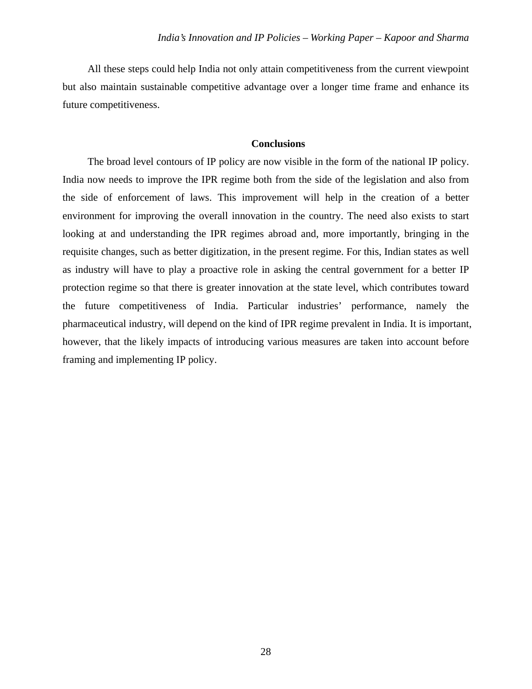All these steps could help India not only attain competitiveness from the current viewpoint but also maintain sustainable competitive advantage over a longer time frame and enhance its future competitiveness.

## **Conclusions**

The broad level contours of IP policy are now visible in the form of the national IP policy. India now needs to improve the IPR regime both from the side of the legislation and also from the side of enforcement of laws. This improvement will help in the creation of a better environment for improving the overall innovation in the country. The need also exists to start looking at and understanding the IPR regimes abroad and, more importantly, bringing in the requisite changes, such as better digitization, in the present regime. For this, Indian states as well as industry will have to play a proactive role in asking the central government for a better IP protection regime so that there is greater innovation at the state level, which contributes toward the future competitiveness of India. Particular industries' performance, namely the pharmaceutical industry, will depend on the kind of IPR regime prevalent in India. It is important, however, that the likely impacts of introducing various measures are taken into account before framing and implementing IP policy.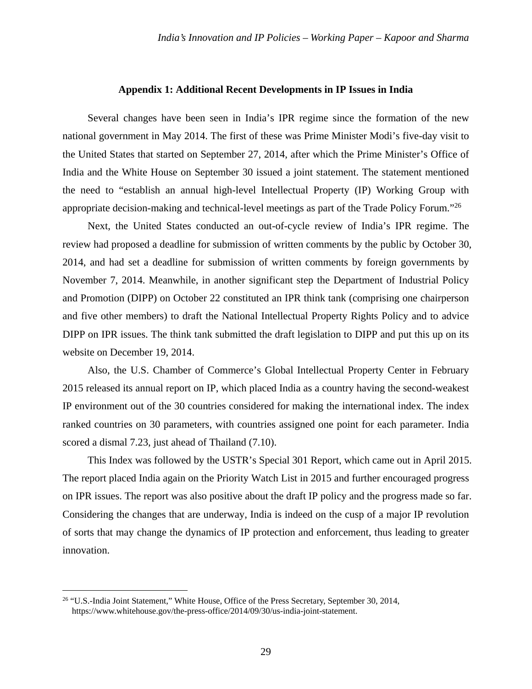#### **Appendix 1: Additional Recent Developments in IP Issues in India**

Several changes have been seen in India's IPR regime since the formation of the new national government in May 2014. The first of these was Prime Minister Modi's five-day visit to the United States that started on September 27, 2014, after which the Prime Minister's Office of India and the White House on September 30 issued a joint statement. The statement mentioned the need to "establish an annual high-level Intellectual Property (IP) Working Group with appropriate decision-making and technical-level meetings as part of the Trade Policy Forum."26

Next, the United States conducted an out-of-cycle review of India's IPR regime. The review had proposed a deadline for submission of written comments by the public by October 30, 2014, and had set a deadline for submission of written comments by foreign governments by November 7, 2014. Meanwhile, in another significant step the Department of Industrial Policy and Promotion (DIPP) on October 22 constituted an IPR think tank (comprising one chairperson and five other members) to draft the National Intellectual Property Rights Policy and to advice DIPP on IPR issues. The think tank submitted the draft legislation to DIPP and put this up on its website on December 19, 2014.

Also, the U.S. Chamber of Commerce's Global Intellectual Property Center in February 2015 released its annual report on IP, which placed India as a country having the second-weakest IP environment out of the 30 countries considered for making the international index. The index ranked countries on 30 parameters, with countries assigned one point for each parameter. India scored a dismal 7.23, just ahead of Thailand (7.10).

This Index was followed by the USTR's Special 301 Report, which came out in April 2015. The report placed India again on the Priority Watch List in 2015 and further encouraged progress on IPR issues. The report was also positive about the draft IP policy and the progress made so far. Considering the changes that are underway, India is indeed on the cusp of a major IP revolution of sorts that may change the dynamics of IP protection and enforcement, thus leading to greater innovation.

 $\overline{a}$ 

<sup>&</sup>lt;sup>26</sup> "U.S.-India Joint Statement," White House, Office of the Press Secretary, September 30, 2014, https://www.whitehouse.gov/the-press-office/2014/09/30/us-india-joint-statement.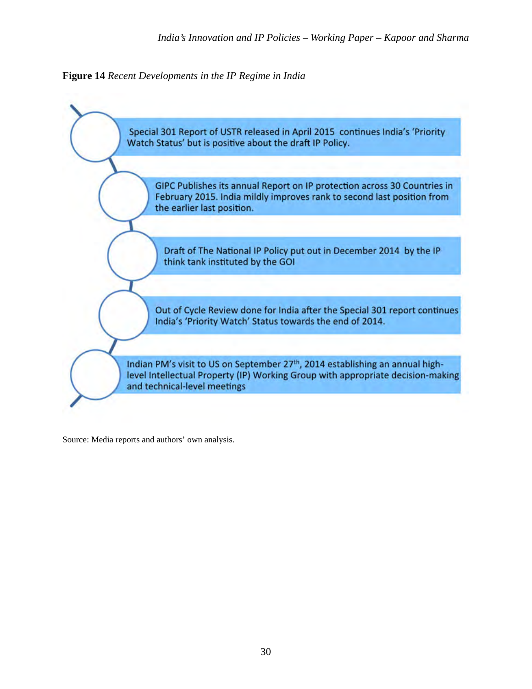**Figure 14** *Recent Developments in the IP Regime in India*



Source: Media reports and authors' own analysis.